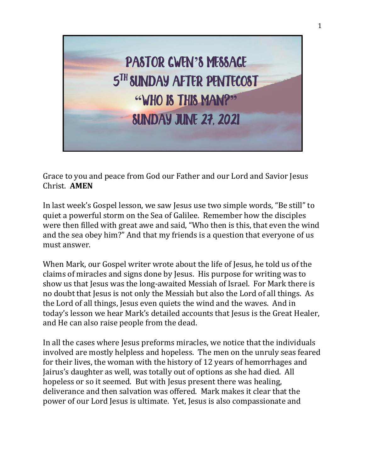

Grace to you and peace from God our Father and our Lord and Savior Jesus Christ. **AMEN**

In last week's Gospel lesson, we saw Jesus use two simple words, "Be still" to quiet a powerful storm on the Sea of Galilee. Remember how the disciples were then filled with great awe and said, "Who then is this, that even the wind and the sea obey him?" And that my friends is a question that everyone of us must answer.

When Mark, our Gospel writer wrote about the life of Jesus, he told us of the claims of miracles and signs done by Jesus. His purpose for writing was to show us that Jesus was the long-awaited Messiah of Israel. For Mark there is no doubt that Jesus is not only the Messiah but also the Lord of all things. As the Lord of all things, Jesus even quiets the wind and the waves. And in today's lesson we hear Mark's detailed accounts that Jesus is the Great Healer, and He can also raise people from the dead.

In all the cases where Jesus preforms miracles, we notice that the individuals involved are mostly helpless and hopeless. The men on the unruly seas feared for their lives, the woman with the history of 12 years of hemorrhages and Jairus's daughter as well, was totally out of options as she had died. All hopeless or so it seemed. But with Jesus present there was healing, deliverance and then salvation was offered. Mark makes it clear that the power of our Lord Jesus is ultimate. Yet, Jesus is also compassionate and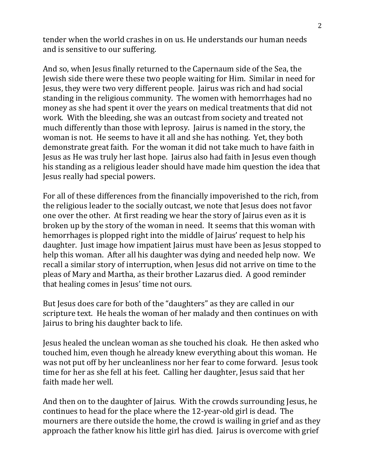tender when the world crashes in on us. He understands our human needs and is sensitive to our suffering.

And so, when Jesus finally returned to the Capernaum side of the Sea, the Jewish side there were these two people waiting for Him. Similar in need for Jesus, they were two very different people. Jairus was rich and had social standing in the religious community. The women with hemorrhages had no money as she had spent it over the years on medical treatments that did not work. With the bleeding, she was an outcast from society and treated not much differently than those with leprosy. Jairus is named in the story, the woman is not. He seems to have it all and she has nothing. Yet, they both demonstrate great faith. For the woman it did not take much to have faith in Jesus as He was truly her last hope. Jairus also had faith in Jesus even though his standing as a religious leader should have made him question the idea that Jesus really had special powers.

For all of these differences from the financially impoverished to the rich, from the religious leader to the socially outcast, we note that Jesus does not favor one over the other. At first reading we hear the story of Jairus even as it is broken up by the story of the woman in need. It seems that this woman with hemorrhages is plopped right into the middle of Jairus' request to help his daughter. Just image how impatient Jairus must have been as Jesus stopped to help this woman. After all his daughter was dying and needed help now. We recall a similar story of interruption, when Jesus did not arrive on time to the pleas of Mary and Martha, as their brother Lazarus died. A good reminder that healing comes in Jesus' time not ours.

But Jesus does care for both of the "daughters" as they are called in our scripture text. He heals the woman of her malady and then continues on with Jairus to bring his daughter back to life.

Jesus healed the unclean woman as she touched his cloak. He then asked who touched him, even though he already knew everything about this woman. He was not put off by her uncleanliness nor her fear to come forward. Jesus took time for her as she fell at his feet. Calling her daughter, Jesus said that her faith made her well.

And then on to the daughter of Jairus. With the crowds surrounding Jesus, he continues to head for the place where the 12-year-old girl is dead. The mourners are there outside the home, the crowd is wailing in grief and as they approach the father know his little girl has died. Jairus is overcome with grief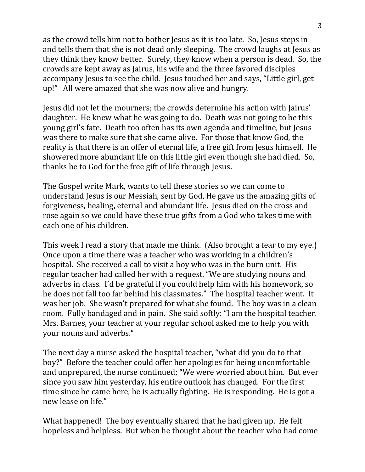as the crowd tells him not to bother Jesus as it is too late. So, Jesus steps in and tells them that she is not dead only sleeping. The crowd laughs at Jesus as they think they know better. Surely, they know when a person is dead. So, the crowds are kept away as Jairus, his wife and the three favored disciples accompany Jesus to see the child. Jesus touched her and says, "Little girl, get up!" All were amazed that she was now alive and hungry.

Jesus did not let the mourners; the crowds determine his action with Jairus' daughter. He knew what he was going to do. Death was not going to be this young girl's fate. Death too often has its own agenda and timeline, but Jesus was there to make sure that she came alive. For those that know God, the reality is that there is an offer of eternal life, a free gift from Jesus himself. He showered more abundant life on this little girl even though she had died. So, thanks be to God for the free gift of life through Jesus.

The Gospel write Mark, wants to tell these stories so we can come to understand Jesus is our Messiah, sent by God, He gave us the amazing gifts of forgiveness, healing, eternal and abundant life. Jesus died on the cross and rose again so we could have these true gifts from a God who takes time with each one of his children.

This week I read a story that made me think. (Also brought a tear to my eye.) Once upon a time there was a teacher who was working in a children's hospital. She received a call to visit a boy who was in the burn unit. His regular teacher had called her with a request. "We are studying nouns and adverbs in class. I'd be grateful if you could help him with his homework, so he does not fall too far behind his classmates." The hospital teacher went. It was her job. She wasn't prepared for what she found. The boy was in a clean room. Fully bandaged and in pain. She said softly: "I am the hospital teacher. Mrs. Barnes, your teacher at your regular school asked me to help you with your nouns and adverbs."

The next day a nurse asked the hospital teacher, "what did you do to that boy?" Before the teacher could offer her apologies for being uncomfortable and unprepared, the nurse continued; "We were worried about him. But ever since you saw him yesterday, his entire outlook has changed. For the first time since he came here, he is actually fighting. He is responding. He is got a new lease on life."

What happened! The boy eventually shared that he had given up. He felt hopeless and helpless. But when he thought about the teacher who had come